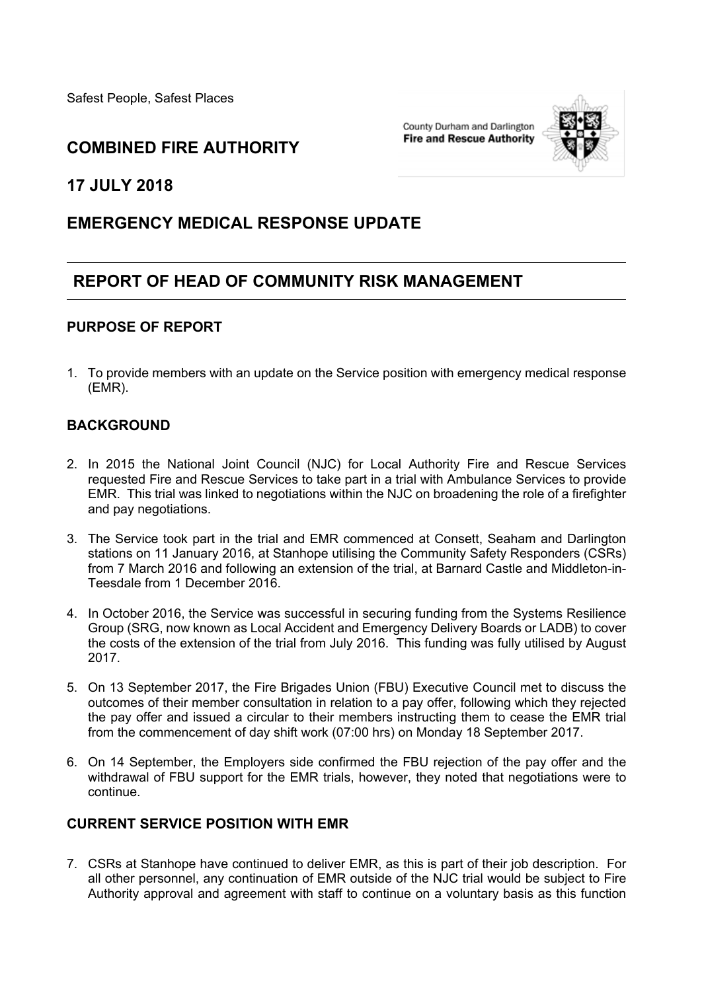Safest People, Safest Places

County Durham and Darlington **Fire and Rescue Authority** 



### **COMBINED FIRE AUTHORITY**

**17 JULY 2018**

# **EMERGENCY MEDICAL RESPONSE UPDATE**

# **REPORT OF HEAD OF COMMUNITY RISK MANAGEMENT**

#### **PURPOSE OF REPORT**

1. To provide members with an update on the Service position with emergency medical response (EMR).

### **BACKGROUND**

- 2. In 2015 the National Joint Council (NJC) for Local Authority Fire and Rescue Services requested Fire and Rescue Services to take part in a trial with Ambulance Services to provide EMR. This trial was linked to negotiations within the NJC on broadening the role of a firefighter and pay negotiations.
- 3. The Service took part in the trial and EMR commenced at Consett, Seaham and Darlington stations on 11 January 2016, at Stanhope utilising the Community Safety Responders (CSRs) from 7 March 2016 and following an extension of the trial, at Barnard Castle and Middleton-in-Teesdale from 1 December 2016.
- 4. In October 2016, the Service was successful in securing funding from the Systems Resilience Group (SRG, now known as Local Accident and Emergency Delivery Boards or LADB) to cover the costs of the extension of the trial from July 2016. This funding was fully utilised by August 2017.
- 5. On 13 September 2017, the Fire Brigades Union (FBU) Executive Council met to discuss the outcomes of their member consultation in relation to a pay offer, following which they rejected the pay offer and issued a circular to their members instructing them to cease the EMR trial from the commencement of day shift work (07:00 hrs) on Monday 18 September 2017.
- 6. On 14 September, the Employers side confirmed the FBU rejection of the pay offer and the withdrawal of FBU support for the EMR trials, however, they noted that negotiations were to continue.

#### **CURRENT SERVICE POSITION WITH EMR**

7. CSRs at Stanhope have continued to deliver EMR, as this is part of their job description. For all other personnel, any continuation of EMR outside of the NJC trial would be subject to Fire Authority approval and agreement with staff to continue on a voluntary basis as this function